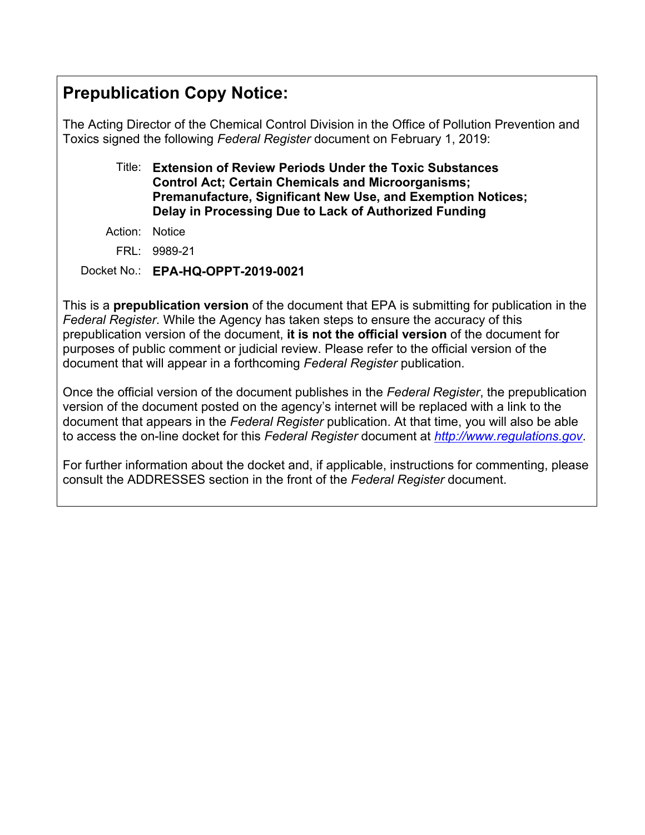# **Prepublication Copy Notice:**

The Acting Director of the Chemical Control Division in the Office of Pollution Prevention and Toxics signed the following *Federal Register* document on February 1, 2019:

# Title: **Extension of Review Periods Under the Toxic Substances Control Act; Certain Chemicals and Microorganisms; Premanufacture, Significant New Use, and Exemption Notices; Delay in Processing Due to Lack of Authorized Funding**

- Action: Notice
	- FRL: 9989-21

Docket No.: **EPA-HQ-OPPT-2019-0021**

This is a **prepublication version** of the document that EPA is submitting for publication in the *Federal Register*. While the Agency has taken steps to ensure the accuracy of this prepublication version of the document, **it is not the official version** of the document for purposes of public comment or judicial review. Please refer to the official version of the document that will appear in a forthcoming *Federal Register* publication.

Once the official version of the document publishes in the *Federal Register*, the prepublication version of the document posted on the agency's internet will be replaced with a link to the document that appears in the *Federal Register* publication. At that time, you will also be able to access the on-line docket for this *Federal Register* document at *http://www.regulations.gov*.

For further information about the docket and, if applicable, instructions for commenting, please consult the ADDRESSES section in the front of the *Federal Register* document.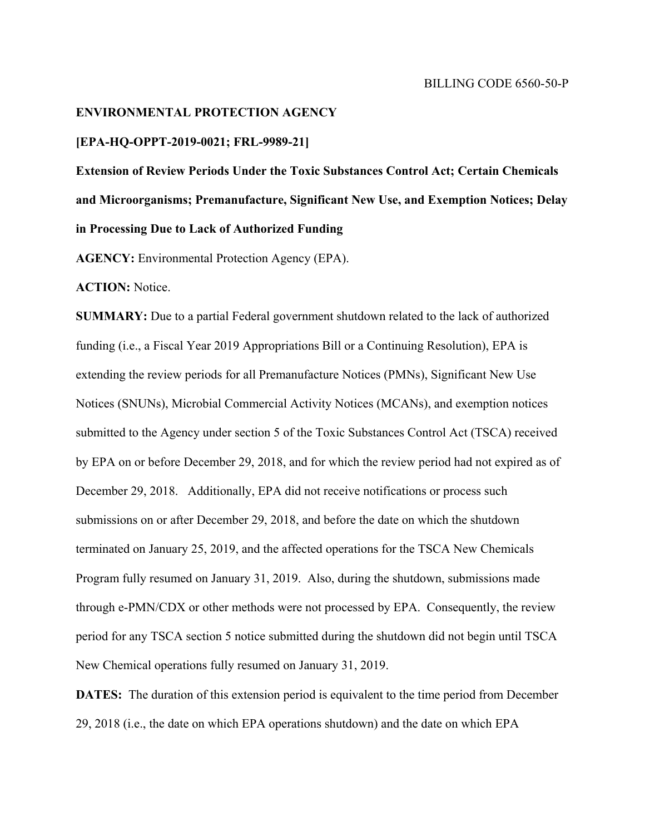# **ENVIRONMENTAL PROTECTION AGENCY**

#### **[EPA-HQ-OPPT-2019-0021; FRL-9989-21]**

**Extension of Review Periods Under the Toxic Substances Control Act; Certain Chemicals and Microorganisms; Premanufacture, Significant New Use, and Exemption Notices; Delay in Processing Due to Lack of Authorized Funding** 

**AGENCY:** Environmental Protection Agency (EPA).

**ACTION:** Notice.

**SUMMARY:** Due to a partial Federal government shutdown related to the lack of authorized funding (i.e., a Fiscal Year 2019 Appropriations Bill or a Continuing Resolution), EPA is extending the review periods for all Premanufacture Notices (PMNs), Significant New Use Notices (SNUNs), Microbial Commercial Activity Notices (MCANs), and exemption notices submitted to the Agency under section 5 of the Toxic Substances Control Act (TSCA) received by EPA on or before December 29, 2018, and for which the review period had not expired as of December 29, 2018. Additionally, EPA did not receive notifications or process such submissions on or after December 29, 2018, and before the date on which the shutdown terminated on January 25, 2019, and the affected operations for the TSCA New Chemicals Program fully resumed on January 31, 2019. Also, during the shutdown, submissions made through e-PMN/CDX or other methods were not processed by EPA. Consequently, the review period for any TSCA section 5 notice submitted during the shutdown did not begin until TSCA New Chemical operations fully resumed on January 31, 2019.

**DATES:** The duration of this extension period is equivalent to the time period from December 29, 2018 (i.e., the date on which EPA operations shutdown) and the date on which EPA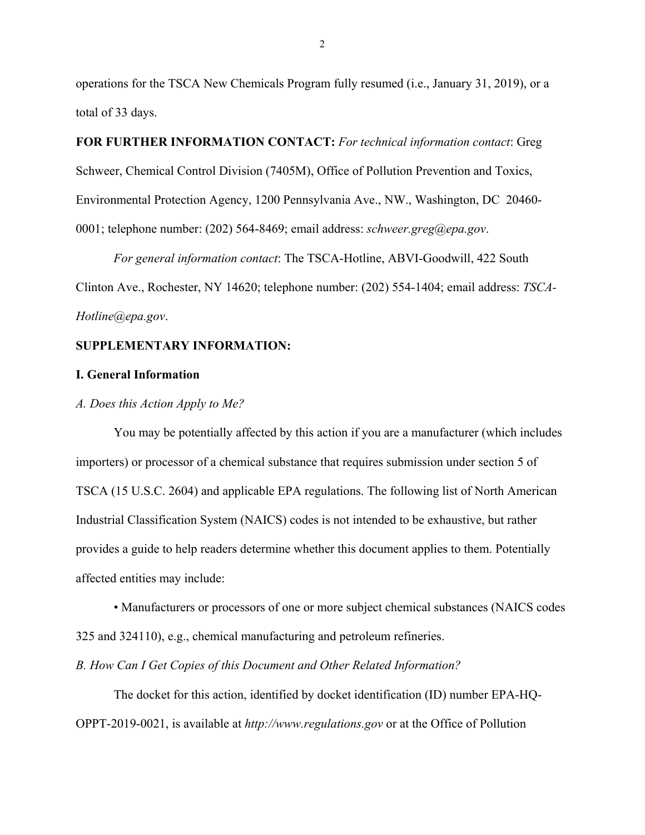operations for the TSCA New Chemicals Program fully resumed (i.e., January 31, 2019), or a total of 33 days.

**FOR FURTHER INFORMATION CONTACT:** *For technical information contact*: Greg Schweer, Chemical Control Division (7405M), Office of Pollution Prevention and Toxics, Environmental Protection Agency, 1200 Pennsylvania Ave., NW., Washington, DC 20460- 0001; telephone number: (202) 564-8469; email address: *schweer.greg@epa.gov*.

 *For general information contact*: The TSCA-Hotline, ABVI-Goodwill, 422 South Clinton Ave., Rochester, NY 14620; telephone number: (202) 554-1404; email address: *TSCA-Hotline@epa.gov*.

# **SUPPLEMENTARY INFORMATION:**

## **I. General Information**

#### *A. Does this Action Apply to Me?*

 You may be potentially affected by this action if you are a manufacturer (which includes importers) or processor of a chemical substance that requires submission under section 5 of TSCA (15 U.S.C. 2604) and applicable EPA regulations. The following list of North American Industrial Classification System (NAICS) codes is not intended to be exhaustive, but rather provides a guide to help readers determine whether this document applies to them. Potentially affected entities may include:

• Manufacturers or processors of one or more subject chemical substances (NAICS codes 325 and 324110), e.g., chemical manufacturing and petroleum refineries.

*B. How Can I Get Copies of this Document and Other Related Information?* 

The docket for this action, identified by docket identification (ID) number EPA-HQ-OPPT-2019-0021, is available at *http://www.regulations.gov* or at the Office of Pollution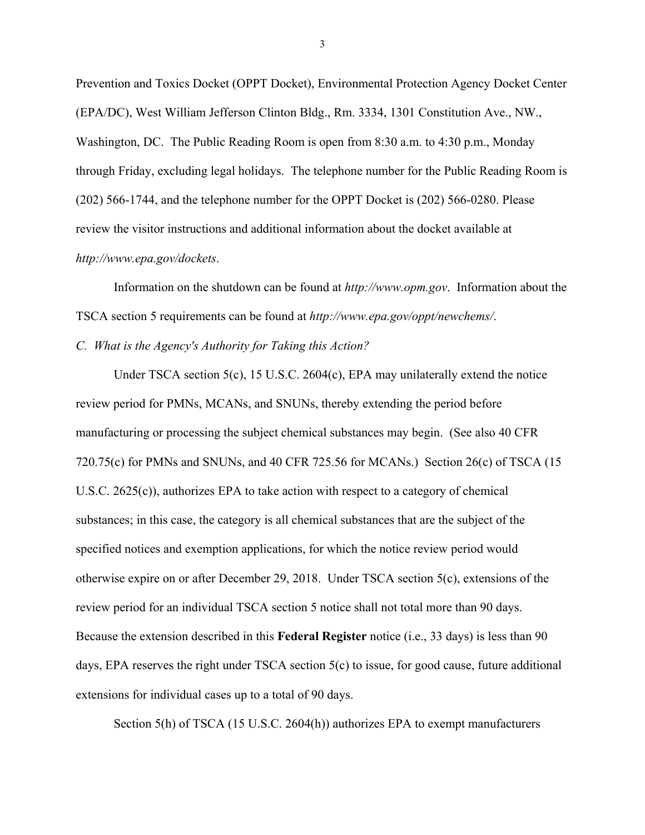Prevention and Toxics Docket (OPPT Docket), Environmental Protection Agency Docket Center (EPA/DC), West William Jefferson Clinton Bldg., Rm. 3334, 1301 Constitution Ave., NW., Washington, DC. The Public Reading Room is open from 8:30 a.m. to 4:30 p.m., Monday through Friday, excluding legal holidays. The telephone number for the Public Reading Room is (202) 566-1744, and the telephone number for the OPPT Docket is (202) 566-0280. Please review the visitor instructions and additional information about the docket available at *http://www.epa.gov/dockets*.

Information on the shutdown can be found at *http://www.opm.gov*. Information about the TSCA section 5 requirements can be found at *http://www.epa.gov/oppt/newchems/*. *C. What is the Agency's Authority for Taking this Action?* 

 Under TSCA section 5(c), 15 U.S.C. 2604(c), EPA may unilaterally extend the notice review period for PMNs, MCANs, and SNUNs, thereby extending the period before manufacturing or processing the subject chemical substances may begin. (See also 40 CFR 720.75(c) for PMNs and SNUNs, and 40 CFR 725.56 for MCANs.) Section 26(c) of TSCA  $(15$ U.S.C. 2625(c)), authorizes EPA to take action with respect to a category of chemical substances; in this case, the category is all chemical substances that are the subject of the specified notices and exemption applications, for which the notice review period would otherwise expire on or after December 29, 2018. Under TSCA section 5(c), extensions of the review period for an individual TSCA section 5 notice shall not total more than 90 days. Because the extension described in this **Federal Register** notice (i.e., 33 days) is less than 90 days, EPA reserves the right under TSCA section 5(c) to issue, for good cause, future additional extensions for individual cases up to a total of 90 days.

Section 5(h) of TSCA (15 U.S.C. 2604(h)) authorizes EPA to exempt manufacturers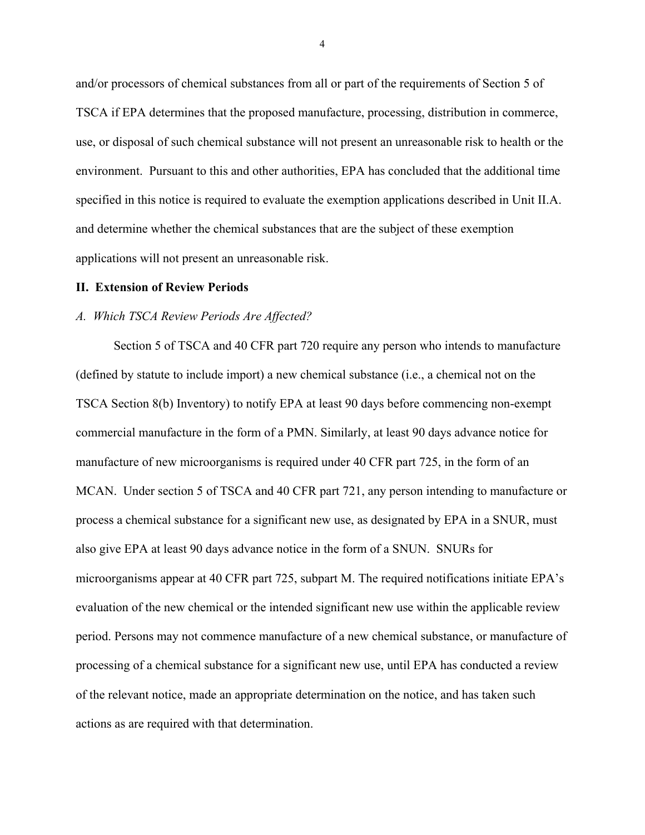and/or processors of chemical substances from all or part of the requirements of Section 5 of TSCA if EPA determines that the proposed manufacture, processing, distribution in commerce, use, or disposal of such chemical substance will not present an unreasonable risk to health or the environment. Pursuant to this and other authorities, EPA has concluded that the additional time specified in this notice is required to evaluate the exemption applications described in Unit II.A. and determine whether the chemical substances that are the subject of these exemption applications will not present an unreasonable risk.

#### **II. Extension of Review Periods**

### *A. Which TSCA Review Periods Are Affected?*

 Section 5 of TSCA and 40 CFR part 720 require any person who intends to manufacture (defined by statute to include import) a new chemical substance (i.e., a chemical not on the TSCA Section 8(b) Inventory) to notify EPA at least 90 days before commencing non-exempt commercial manufacture in the form of a PMN. Similarly, at least 90 days advance notice for manufacture of new microorganisms is required under 40 CFR part 725, in the form of an MCAN. Under section 5 of TSCA and 40 CFR part 721, any person intending to manufacture or process a chemical substance for a significant new use, as designated by EPA in a SNUR, must also give EPA at least 90 days advance notice in the form of a SNUN. SNURs for microorganisms appear at 40 CFR part 725, subpart M. The required notifications initiate EPA's evaluation of the new chemical or the intended significant new use within the applicable review period. Persons may not commence manufacture of a new chemical substance, or manufacture of processing of a chemical substance for a significant new use, until EPA has conducted a review of the relevant notice, made an appropriate determination on the notice, and has taken such actions as are required with that determination.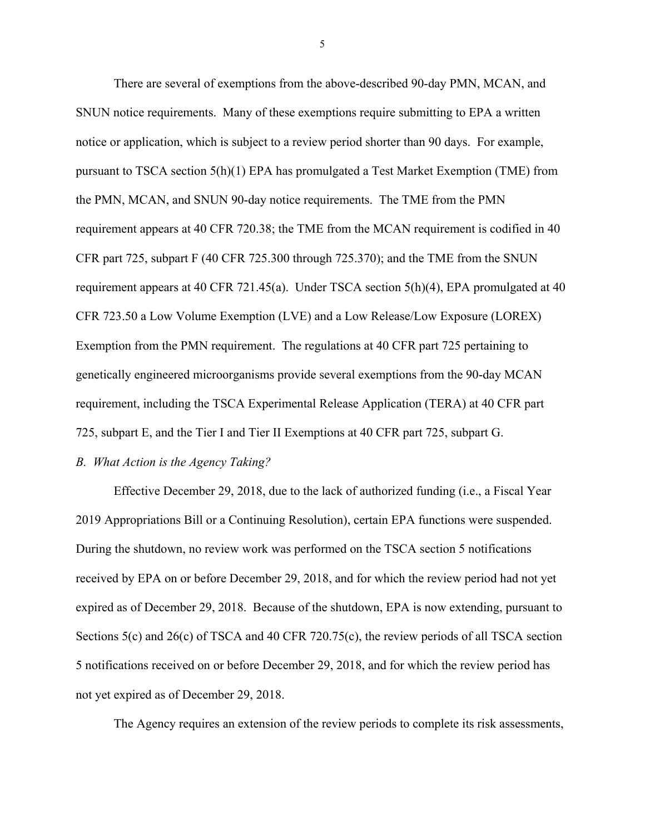There are several of exemptions from the above-described 90-day PMN, MCAN, and SNUN notice requirements. Many of these exemptions require submitting to EPA a written notice or application, which is subject to a review period shorter than 90 days. For example, pursuant to TSCA section 5(h)(1) EPA has promulgated a Test Market Exemption (TME) from the PMN, MCAN, and SNUN 90-day notice requirements. The TME from the PMN requirement appears at 40 CFR 720.38; the TME from the MCAN requirement is codified in 40 CFR part 725, subpart F (40 CFR 725.300 through 725.370); and the TME from the SNUN requirement appears at 40 CFR 721.45(a). Under TSCA section 5(h)(4), EPA promulgated at 40 CFR 723.50 a Low Volume Exemption (LVE) and a Low Release/Low Exposure (LOREX) Exemption from the PMN requirement. The regulations at 40 CFR part 725 pertaining to genetically engineered microorganisms provide several exemptions from the 90-day MCAN requirement, including the TSCA Experimental Release Application (TERA) at 40 CFR part 725, subpart E, and the Tier I and Tier II Exemptions at 40 CFR part 725, subpart G.

# *B. What Action is the Agency Taking?*

 Effective December 29, 2018, due to the lack of authorized funding (i.e., a Fiscal Year 2019 Appropriations Bill or a Continuing Resolution), certain EPA functions were suspended. During the shutdown, no review work was performed on the TSCA section 5 notifications received by EPA on or before December 29, 2018, and for which the review period had not yet expired as of December 29, 2018. Because of the shutdown, EPA is now extending, pursuant to Sections 5(c) and 26(c) of TSCA and 40 CFR 720.75(c), the review periods of all TSCA section 5 notifications received on or before December 29, 2018, and for which the review period has not yet expired as of December 29, 2018.

The Agency requires an extension of the review periods to complete its risk assessments,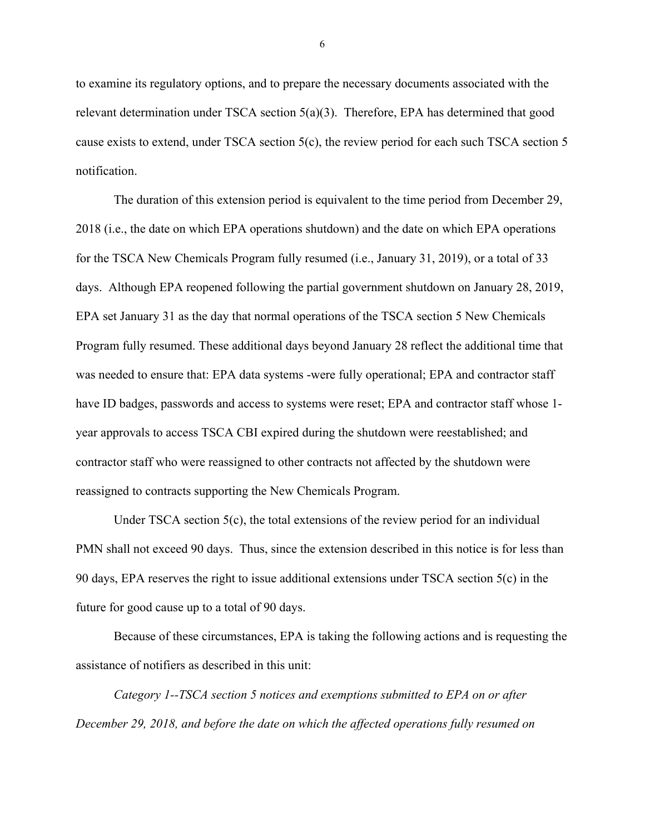to examine its regulatory options, and to prepare the necessary documents associated with the relevant determination under TSCA section 5(a)(3). Therefore, EPA has determined that good cause exists to extend, under TSCA section 5(c), the review period for each such TSCA section 5 notification.

 The duration of this extension period is equivalent to the time period from December 29, 2018 (i.e., the date on which EPA operations shutdown) and the date on which EPA operations for the TSCA New Chemicals Program fully resumed (i.e., January 31, 2019), or a total of 33 days. Although EPA reopened following the partial government shutdown on January 28, 2019, EPA set January 31 as the day that normal operations of the TSCA section 5 New Chemicals Program fully resumed. These additional days beyond January 28 reflect the additional time that was needed to ensure that: EPA data systems -were fully operational; EPA and contractor staff have ID badges, passwords and access to systems were reset; EPA and contractor staff whose 1 year approvals to access TSCA CBI expired during the shutdown were reestablished; and contractor staff who were reassigned to other contracts not affected by the shutdown were reassigned to contracts supporting the New Chemicals Program.

Under TSCA section 5(c), the total extensions of the review period for an individual PMN shall not exceed 90 days. Thus, since the extension described in this notice is for less than 90 days, EPA reserves the right to issue additional extensions under TSCA section 5(c) in the future for good cause up to a total of 90 days.

 Because of these circumstances, EPA is taking the following actions and is requesting the assistance of notifiers as described in this unit:

*Category 1--TSCA section 5 notices and exemptions submitted to EPA on or after December 29, 2018, and before the date on which the affected operations fully resumed on*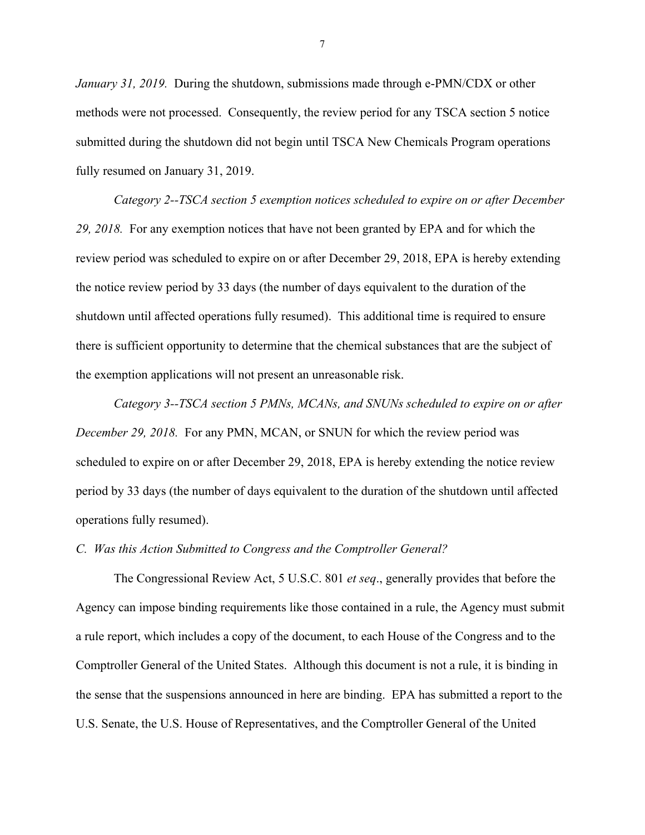*January 31, 2019.* During the shutdown, submissions made through e-PMN/CDX or other methods were not processed. Consequently, the review period for any TSCA section 5 notice submitted during the shutdown did not begin until TSCA New Chemicals Program operations fully resumed on January 31, 2019.

*Category 2--TSCA section 5 exemption notices scheduled to expire on or after December 29, 2018.* For any exemption notices that have not been granted by EPA and for which the review period was scheduled to expire on or after December 29, 2018, EPA is hereby extending the notice review period by 33 days (the number of days equivalent to the duration of the shutdown until affected operations fully resumed). This additional time is required to ensure there is sufficient opportunity to determine that the chemical substances that are the subject of the exemption applications will not present an unreasonable risk.

*Category 3--TSCA section 5 PMNs, MCANs, and SNUNs scheduled to expire on or after December 29, 2018.* For any PMN, MCAN, or SNUN for which the review period was scheduled to expire on or after December 29, 2018, EPA is hereby extending the notice review period by 33 days (the number of days equivalent to the duration of the shutdown until affected operations fully resumed).

## *C. Was this Action Submitted to Congress and the Comptroller General?*

 The Congressional Review Act, 5 U.S.C. 801 *et seq*., generally provides that before the Agency can impose binding requirements like those contained in a rule, the Agency must submit a rule report, which includes a copy of the document, to each House of the Congress and to the Comptroller General of the United States. Although this document is not a rule, it is binding in the sense that the suspensions announced in here are binding. EPA has submitted a report to the U.S. Senate, the U.S. House of Representatives, and the Comptroller General of the United